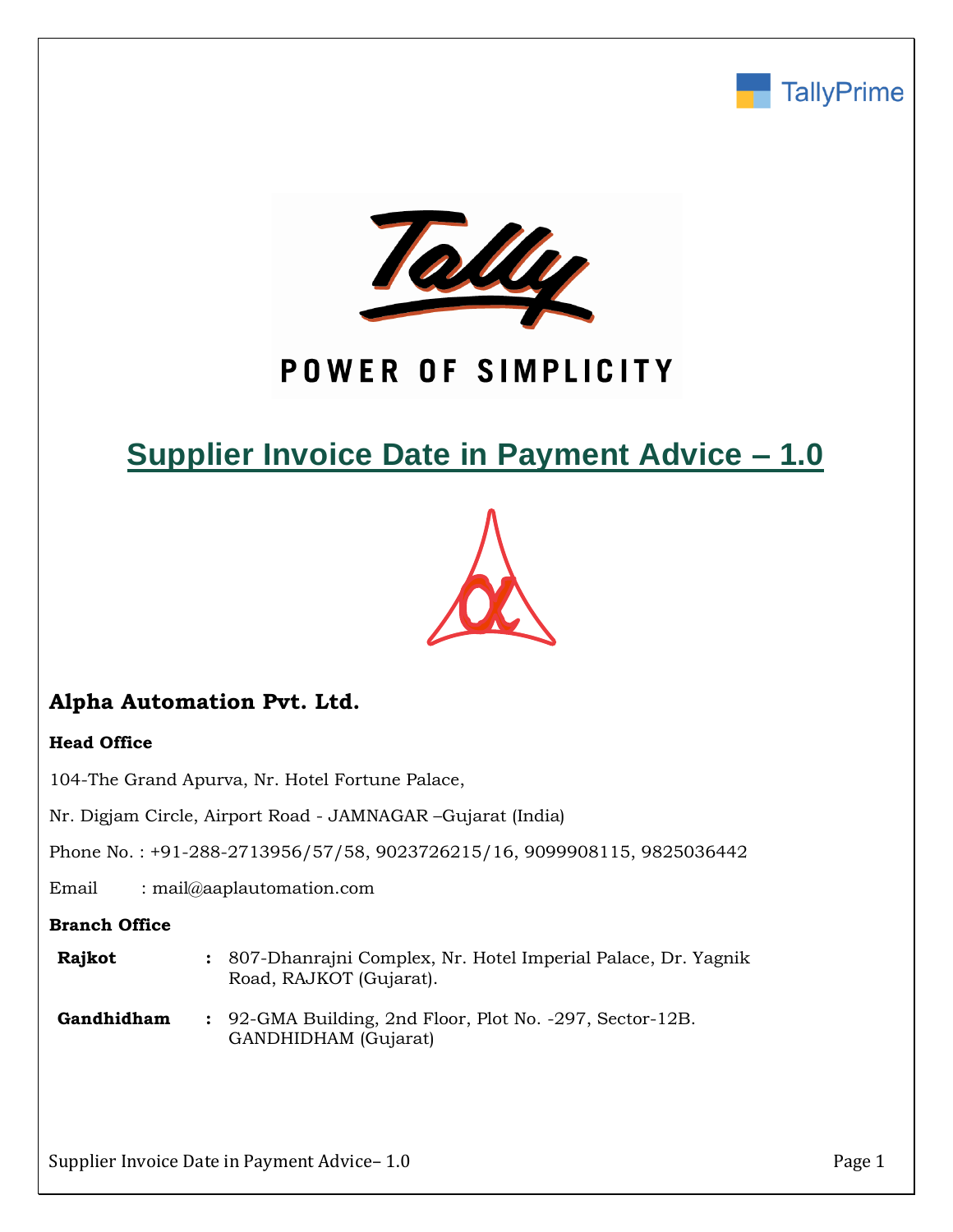



# POWER OF SIMPLICITY

# **Supplier Invoice Date in Payment Advice – 1.0**



# **Alpha Automation Pvt. Ltd.**

### **Head Office**

104-The Grand Apurva, Nr. Hotel Fortune Palace,

Nr. Digjam Circle, Airport Road - JAMNAGAR –Gujarat (India)

Phone No. : +91-288-2713956/57/58, 9023726215/16, 9099908115, 9825036442

Email : mail@aaplautomation.com

#### **Branch Office**

- **Rajkot :** 807-Dhanrajni Complex, Nr. Hotel Imperial Palace, Dr. Yagnik Road, RAJKOT (Gujarat).
- **Gandhidham :** 92-GMA Building, 2nd Floor, Plot No. -297, Sector-12B. GANDHIDHAM (Gujarat)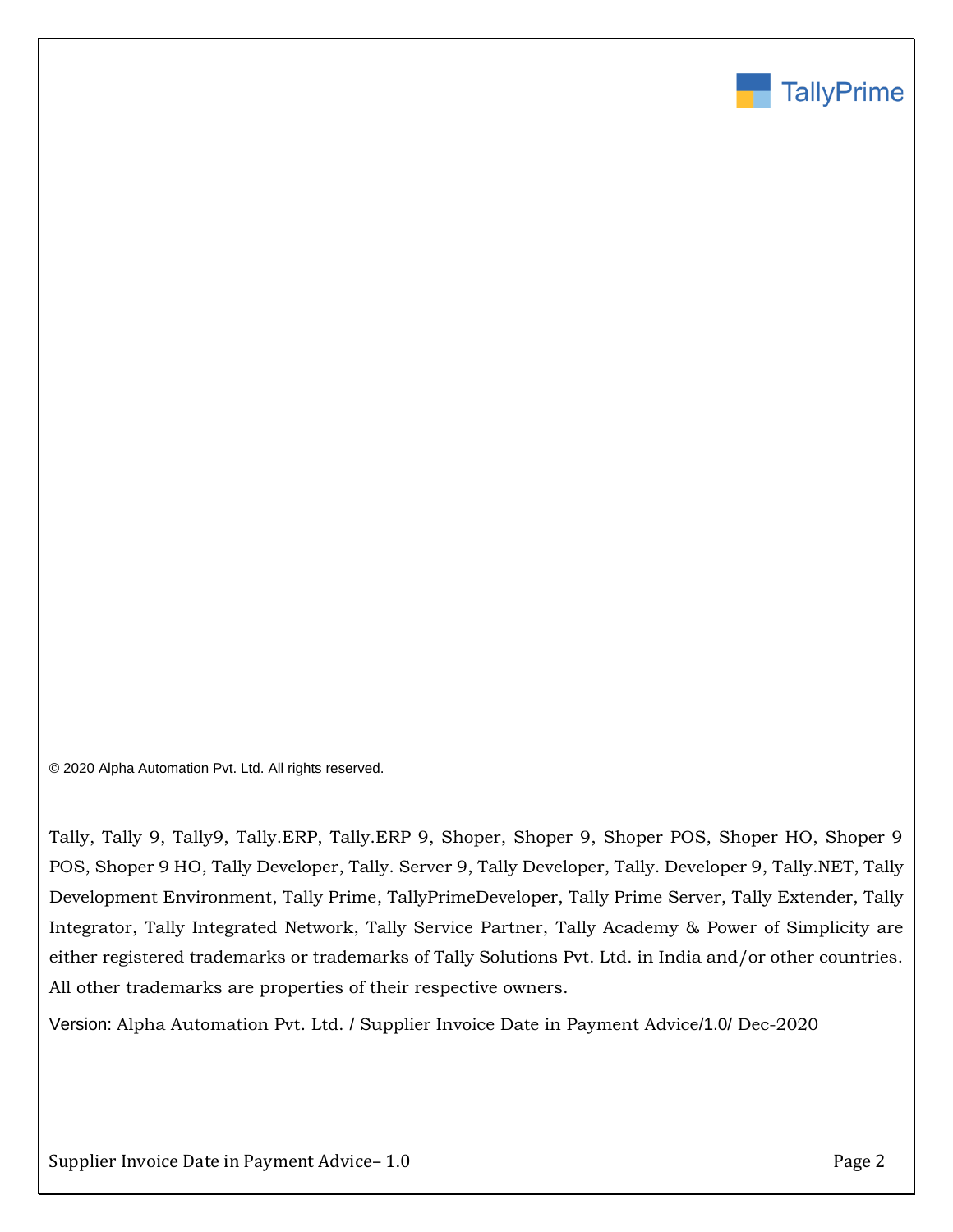

© 2020 Alpha Automation Pvt. Ltd. All rights reserved.

Tally, Tally 9, Tally9, Tally.ERP, Tally.ERP 9, Shoper, Shoper 9, Shoper POS, Shoper HO, Shoper 9 POS, Shoper 9 HO, Tally Developer, Tally. Server 9, Tally Developer, Tally. Developer 9, Tally.NET, Tally Development Environment, Tally Prime, TallyPrimeDeveloper, Tally Prime Server, Tally Extender, Tally Integrator, Tally Integrated Network, Tally Service Partner, Tally Academy & Power of Simplicity are either registered trademarks or trademarks of Tally Solutions Pvt. Ltd. in India and/or other countries. All other trademarks are properties of their respective owners.

Version: Alpha Automation Pvt. Ltd. / Supplier Invoice Date in Payment Advice/1.0/ Dec-2020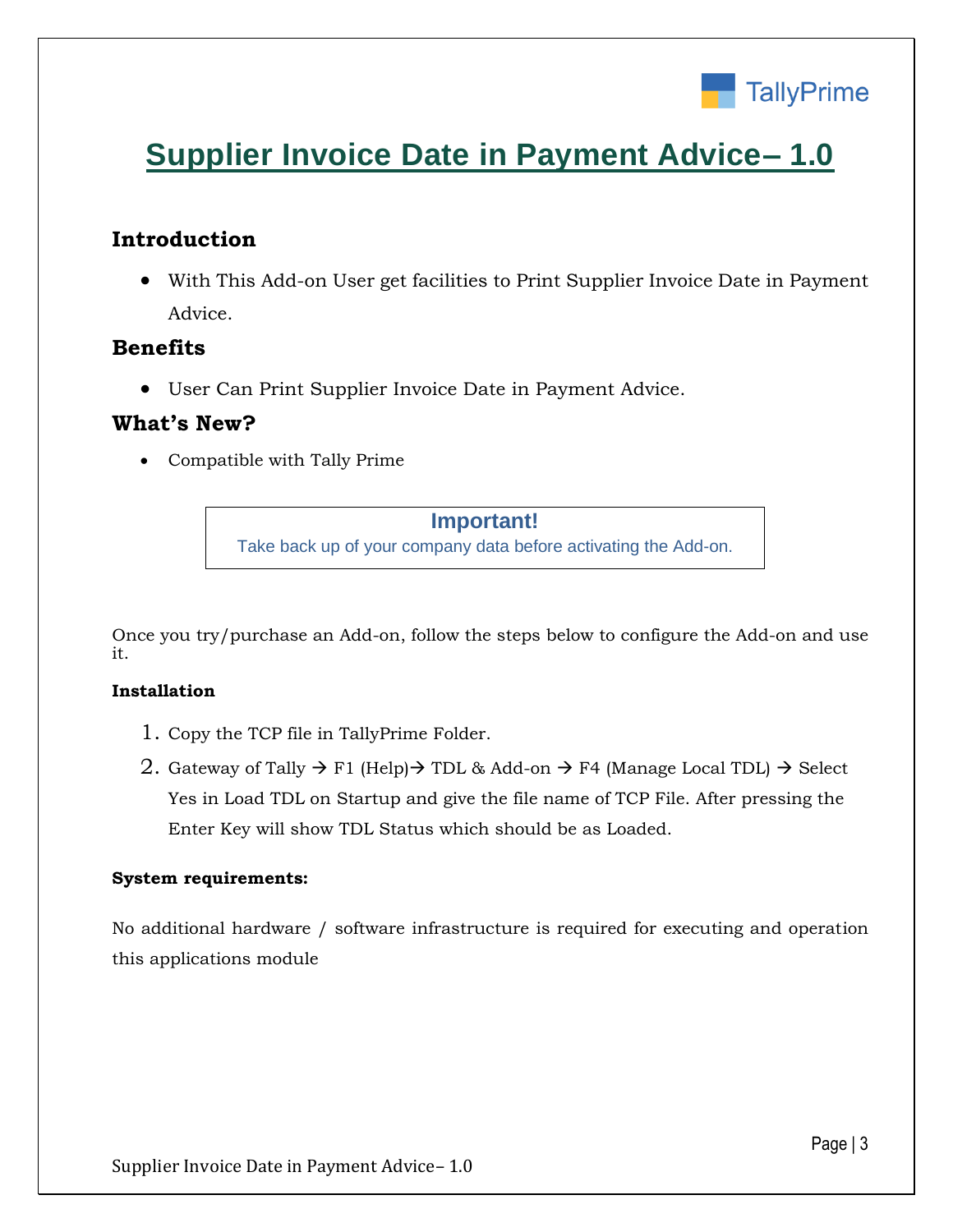

# **Supplier Invoice Date in Payment Advice– 1.0**

## **Introduction**

• With This Add-on User get facilities to Print Supplier Invoice Date in Payment Advice.

### **Benefits**

• User Can Print Supplier Invoice Date in Payment Advice.

### **What's New?**

• Compatible with Tally Prime

#### **Important!**

Take back up of your company data before activating the Add-on.

Once you try/purchase an Add-on, follow the steps below to configure the Add-on and use it.

#### **Installation**

- 1. Copy the TCP file in TallyPrime Folder.
- 2. Gateway of Tally  $\rightarrow$  F1 (Help) $\rightarrow$  TDL & Add-on  $\rightarrow$  F4 (Manage Local TDL)  $\rightarrow$  Select Yes in Load TDL on Startup and give the file name of TCP File. After pressing the Enter Key will show TDL Status which should be as Loaded.

#### **System requirements:**

No additional hardware / software infrastructure is required for executing and operation this applications module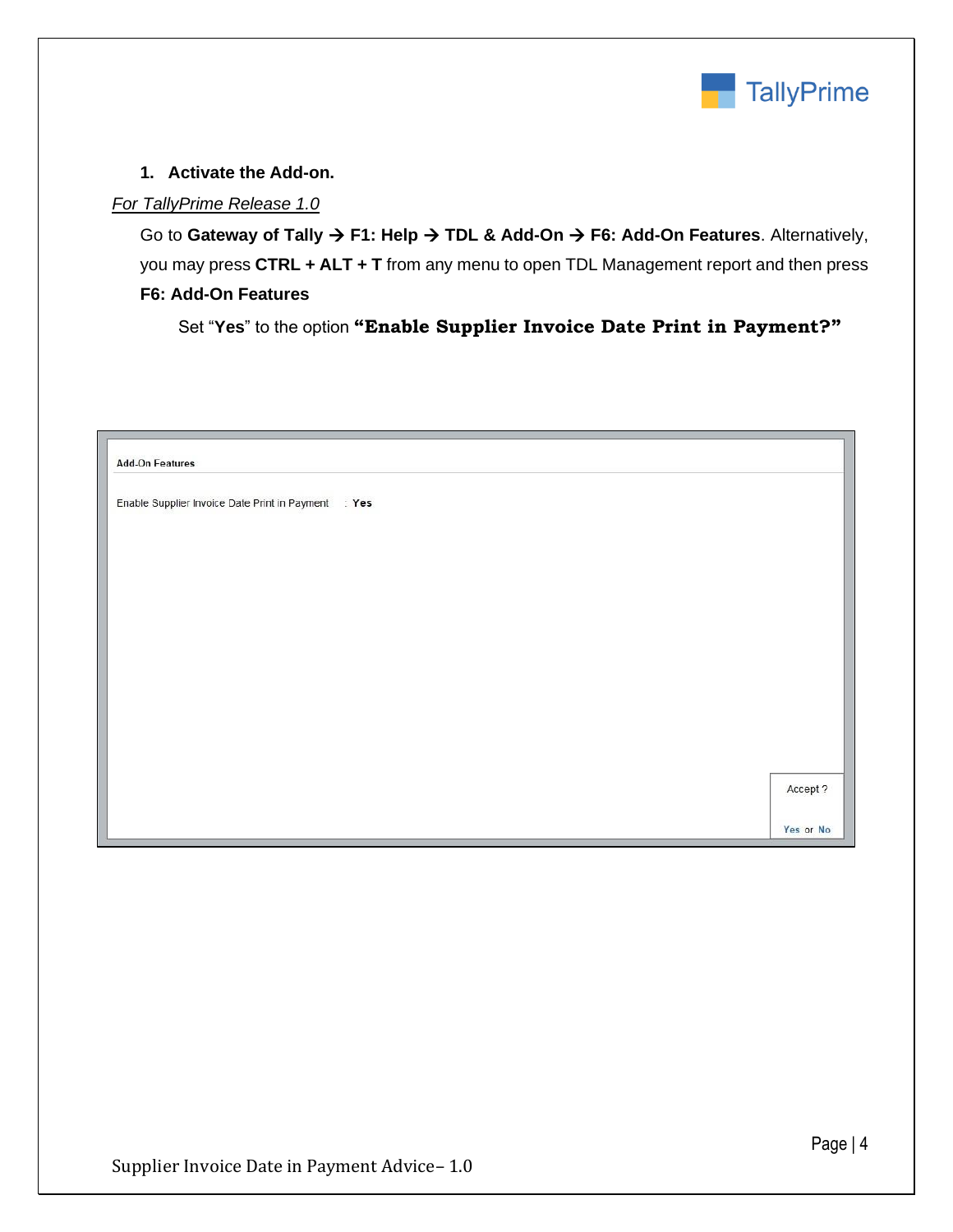

#### **1. Activate the Add-on.**

#### *For TallyPrime Release 1.0*

Go to **Gateway of Tally** → **F1: Help** → **TDL & Add-On** → **F6: Add-On Features**. Alternatively, you may press **CTRL + ALT + T** from any menu to open TDL Management report and then press **F6: Add-On Features**

Set "**Yes**" to the option **"Enable Supplier Invoice Date Print in Payment?"**

| <b>Add-On Features</b>                              |           |
|-----------------------------------------------------|-----------|
| Enable Supplier Invoice Date Print in Payment : Yes |           |
|                                                     |           |
|                                                     |           |
|                                                     |           |
|                                                     |           |
|                                                     |           |
|                                                     |           |
|                                                     |           |
|                                                     | Accept ?  |
|                                                     | Yes or No |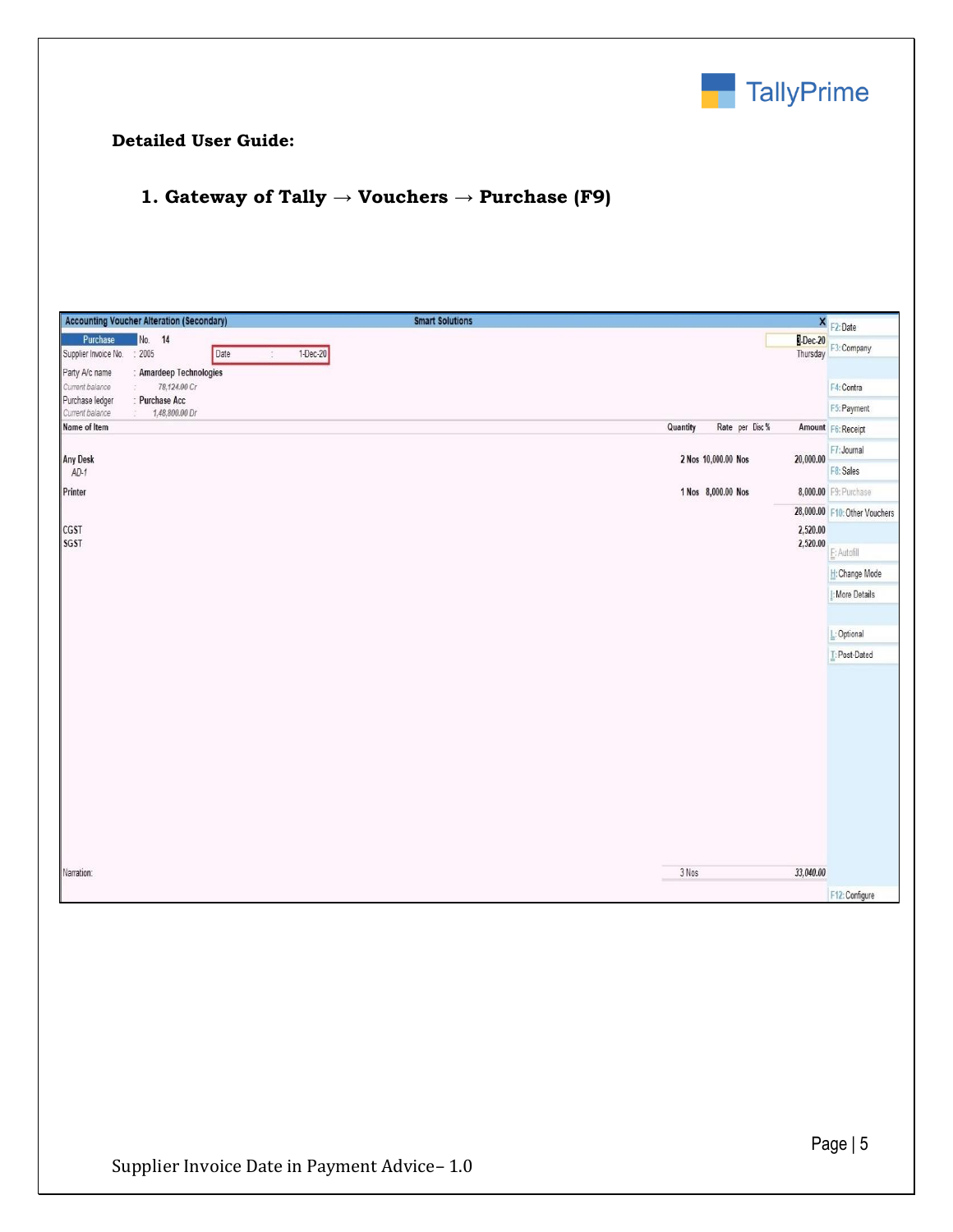

#### **Detailed User Guide:**

## **1. Gateway of Tally → Vouchers → Purchase (F9)**

| <b>Accounting Voucher Alteration (Secondary)</b>                                                          | <b>Smart Solutions</b><br>×                     | F2:Date                       |
|-----------------------------------------------------------------------------------------------------------|-------------------------------------------------|-------------------------------|
| No. 14<br>Purchase<br>Date<br>: 2005<br>Supplier Invoice No.<br>Party A/c name<br>: Amardeep Technologies | <b>B-Dec-20</b><br>Thursday<br>$1-Dec-20$<br>s. | F3: Company                   |
| Current balance<br>78,124.00 Cr                                                                           |                                                 | F4: Contra                    |
| : Purchase Acc<br>Purchase ledger<br>Current balance<br>1,48,800.00 Dr                                    |                                                 | F5: Payment                   |
| Name of Item                                                                                              | Quantity<br>Rate per Disc %                     | Amount F6: Receipt            |
|                                                                                                           |                                                 | F7: Journal                   |
| <b>Any Desk</b><br>$AD-1$                                                                                 | 2 Nos 10,000.00 Nos<br>20,000.00                | F8: Sales                     |
| Printer                                                                                                   | 1 Nos 8,000.00 Nos                              | 8,000.00 F9: Purchase         |
|                                                                                                           |                                                 | 28,000.00 F10: Other Vouchers |
| CGST                                                                                                      | 2,520.00                                        |                               |
| <b>SGST</b>                                                                                               | 2,520.00                                        | E: Autofill                   |
|                                                                                                           |                                                 | H: Change Mode                |
|                                                                                                           |                                                 | I: More Details               |
|                                                                                                           |                                                 |                               |
|                                                                                                           |                                                 | L: Optional                   |
|                                                                                                           |                                                 | T: Post-Dated                 |
|                                                                                                           |                                                 |                               |
| Narration:                                                                                                | 3 Nos<br>33,040.00                              |                               |
|                                                                                                           |                                                 | F12: Configure                |
|                                                                                                           |                                                 |                               |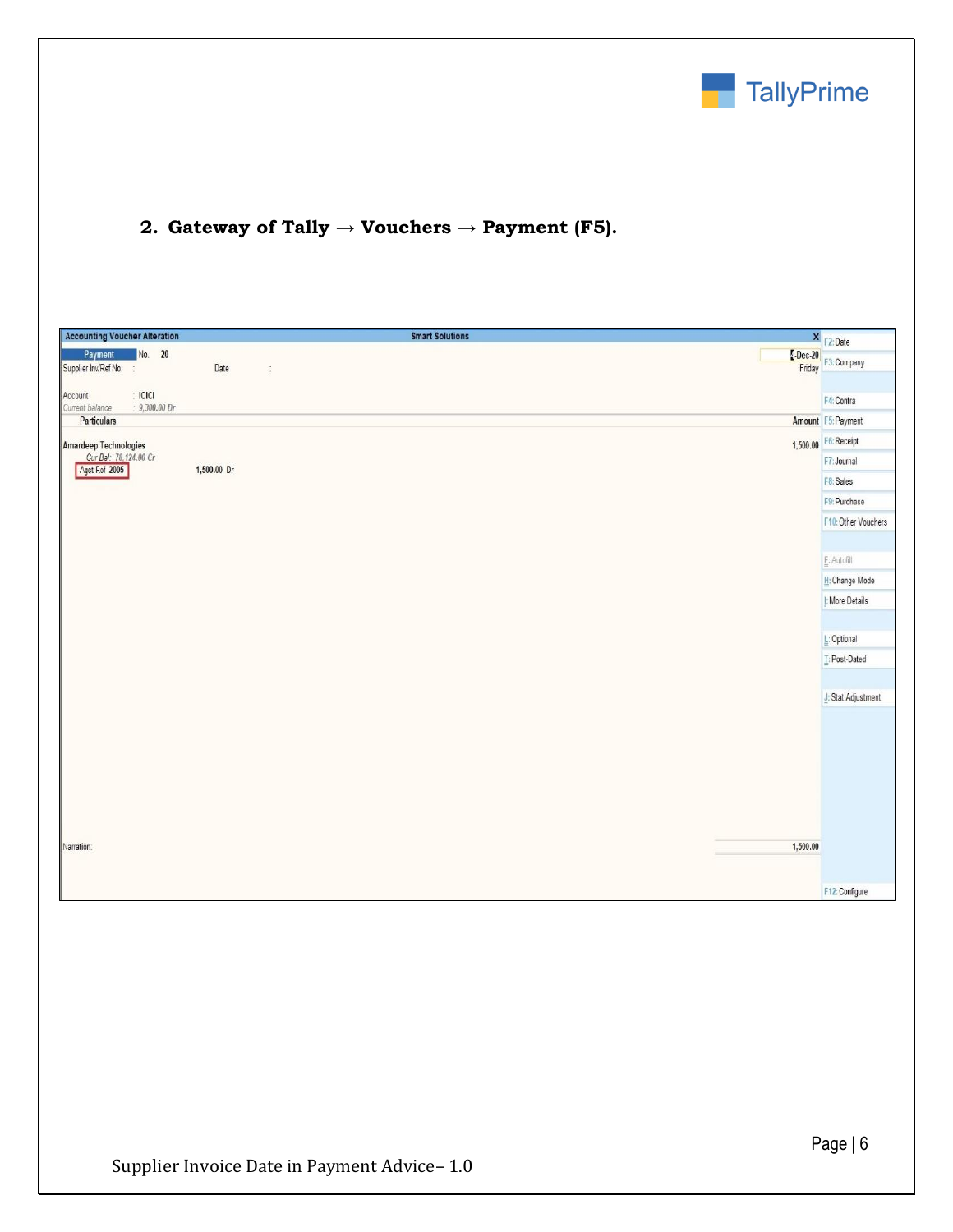

# **2. Gateway of Tally → Vouchers → Payment (F5).**

| <b>Accounting Voucher Alteration</b>             |               |             | <b>Smart Solutions</b> |          | $X$ F2: Date         |
|--------------------------------------------------|---------------|-------------|------------------------|----------|----------------------|
| Payment<br>Supplier Inv/Ref No.<br>$\frac{1}{2}$ | No. 20        | Date        | $\frac{1}{2}$          |          | Dec-20 F3: Company   |
| $\div$ ICICI<br>Account<br>Current balance       | $9,300.00$ Dr |             |                        |          | F4: Contra           |
| Particulars                                      |               |             |                        |          | Amount F5: Payment   |
| <b>Amardeep Technologies</b>                     |               |             |                        |          | 1,500.00 F6: Receipt |
| Cur Bal: 78,124.00 Cr<br>Agst Ref 2005           |               | 1,500.00 Dr |                        |          | F7: Journal          |
|                                                  |               |             |                        |          | F8: Sales            |
|                                                  |               |             |                        |          | F9: Purchase         |
|                                                  |               |             |                        |          | F10: Other Vouchers  |
|                                                  |               |             |                        |          |                      |
|                                                  |               |             |                        |          | $E:$ Autofill        |
|                                                  |               |             |                        |          | H: Change Mode       |
|                                                  |               |             |                        |          | I: More Details      |
|                                                  |               |             |                        |          |                      |
|                                                  |               |             |                        |          | L: Optional          |
|                                                  |               |             |                        |          | T: Post-Dated        |
|                                                  |               |             |                        |          |                      |
|                                                  |               |             |                        |          | J: Stat Adjustment   |
|                                                  |               |             |                        |          |                      |
|                                                  |               |             |                        |          |                      |
|                                                  |               |             |                        |          |                      |
|                                                  |               |             |                        |          |                      |
|                                                  |               |             |                        |          |                      |
|                                                  |               |             |                        |          |                      |
| Narration:                                       |               |             |                        | 1,500.00 |                      |
|                                                  |               |             |                        |          |                      |
|                                                  |               |             |                        |          | F12: Configure       |
|                                                  |               |             |                        |          |                      |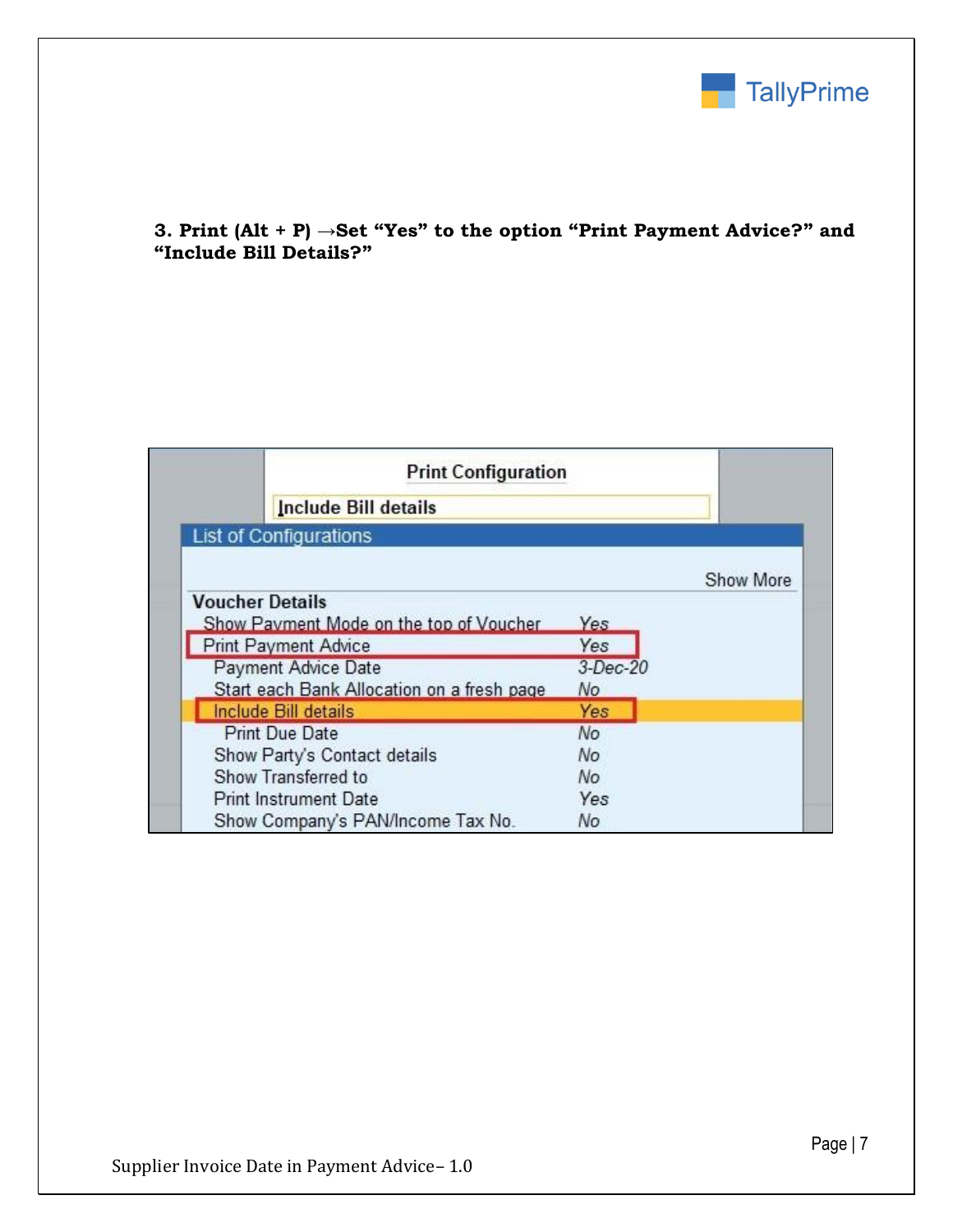

### **3. Print (Alt + P) →Set "Yes" to the option "Print Payment Advice?" and "Include Bill Details?"**

| <b>Print Configuration</b>                 |          |           |
|--------------------------------------------|----------|-----------|
| Include Bill details                       |          |           |
| <b>List of Configurations</b>              |          |           |
|                                            |          | Show More |
| <b>Voucher Details</b>                     |          |           |
| Show Payment Mode on the top of Voucher    | Yes      |           |
| <b>Print Payment Advice</b>                | Yes      |           |
| Payment Advice Date                        | 3-Dec-20 |           |
| Start each Bank Allocation on a fresh page | No       |           |
| Include Bill details                       | Yes      |           |
| <b>Print Due Date</b>                      | No       |           |
| Show Party's Contact details               | No       |           |
| Show Transferred to                        | No       |           |
| <b>Print Instrument Date</b>               | Yes      |           |
| Show Company's PAN/Income Tax No.          | No       |           |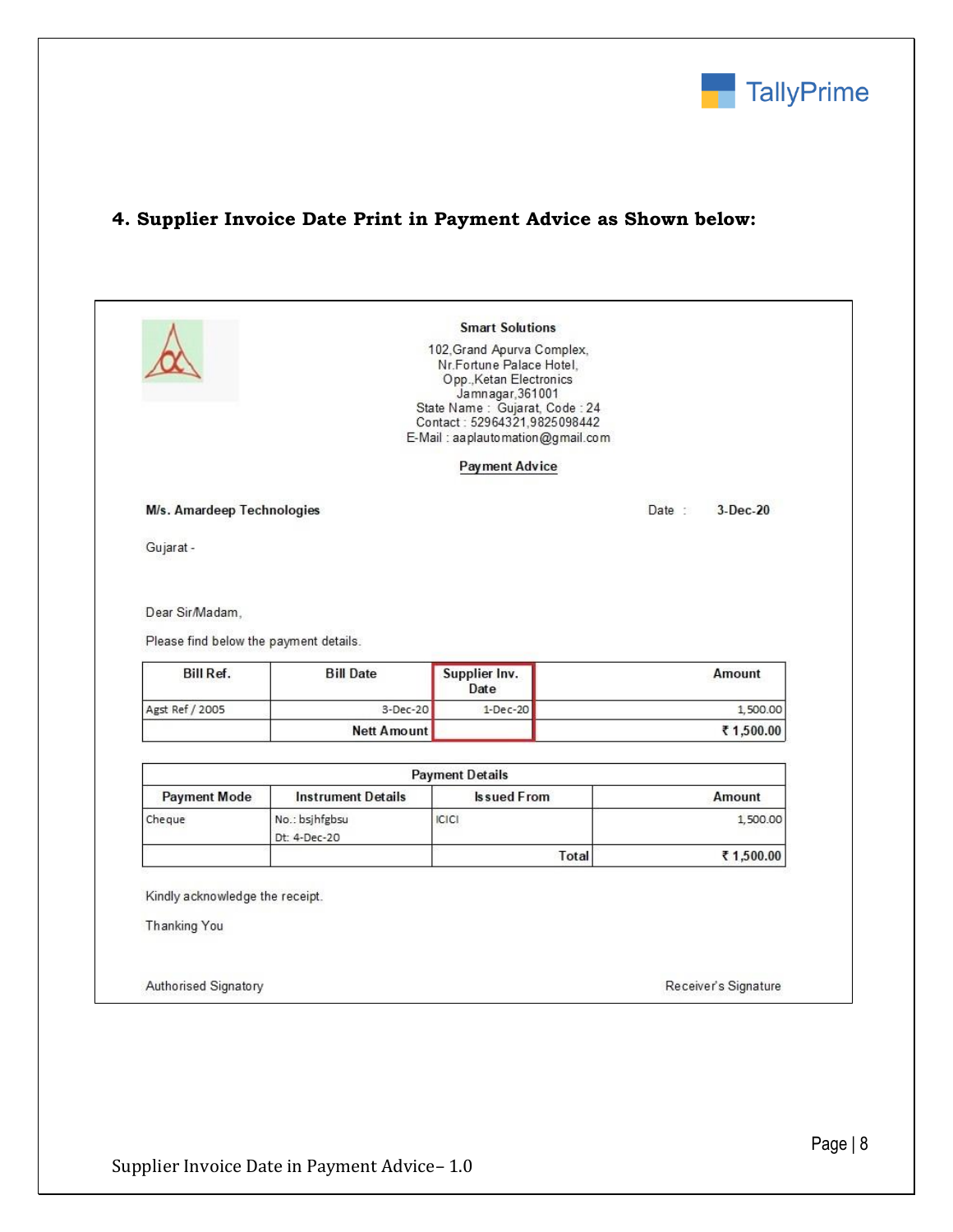

# **4. Supplier Invoice Date Print in Payment Advice as Shown below:**

|                                                           |                                | <b>Smart Solutions</b><br>102, Grand Apurva Complex,<br>Nr.Fortune Palace Hotel,<br>Opp., Ketan Electronics<br>Jamnagar, 361001<br>State Name: Gujarat, Code: 24<br>Contact: 52964321,9825098442<br>E-Mail: aaplautomation@gmail.com |                     |
|-----------------------------------------------------------|--------------------------------|--------------------------------------------------------------------------------------------------------------------------------------------------------------------------------------------------------------------------------------|---------------------|
|                                                           |                                | <b>Payment Advice</b>                                                                                                                                                                                                                |                     |
| M/s. Amardeep Technologies                                |                                |                                                                                                                                                                                                                                      | Date:<br>$3-Dec-20$ |
| Gujarat -                                                 |                                |                                                                                                                                                                                                                                      |                     |
| Bill Ref.                                                 | <b>Bill Date</b>               | Supplier Inv.<br>Date                                                                                                                                                                                                                | Amount              |
| Agst Ref / 2005                                           | 3-Dec-20                       | $1-Dec-20$                                                                                                                                                                                                                           | 1,500.00            |
|                                                           | <b>Nett Amount</b>             |                                                                                                                                                                                                                                      | ₹1,500.00           |
|                                                           |                                | <b>Payment Details</b>                                                                                                                                                                                                               |                     |
|                                                           |                                |                                                                                                                                                                                                                                      |                     |
| <b>Payment Mode</b>                                       | <b>Instrument Details</b>      | <b>Is sued From</b>                                                                                                                                                                                                                  | Amount              |
|                                                           | No.: bsjhfgbsu<br>Dt: 4-Dec-20 | <b>ICICI</b>                                                                                                                                                                                                                         | 1,500.00            |
|                                                           |                                | Total                                                                                                                                                                                                                                | ₹1,500.00           |
| Cheque<br>Kindly acknowledge the receipt.<br>Thanking You |                                |                                                                                                                                                                                                                                      |                     |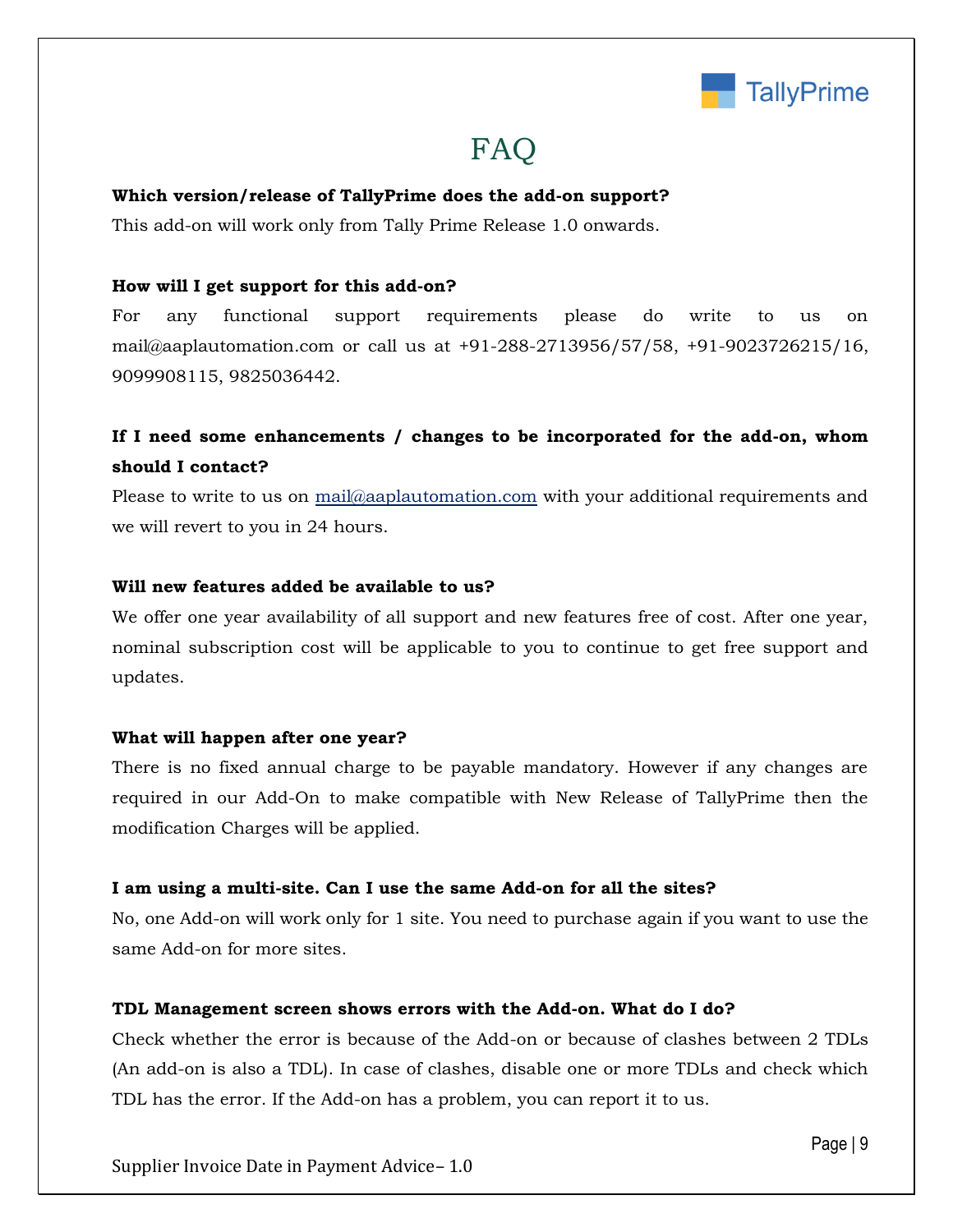

# FAQ

#### **Which version/release of TallyPrime does the add-on support?**

This add-on will work only from Tally Prime Release 1.0 onwards.

#### **How will I get support for this add-on?**

For any functional support requirements please do write to us on mail@aaplautomation.com or call us at +91-288-2713956/57/58, +91-9023726215/16, 9099908115, 9825036442.

## **If I need some enhancements / changes to be incorporated for the add-on, whom should I contact?**

Please to write to us on mail@aaplautomation.com with your additional requirements and we will revert to you in 24 hours.

#### **Will new features added be available to us?**

We offer one year availability of all support and new features free of cost. After one year, nominal subscription cost will be applicable to you to continue to get free support and updates.

#### **What will happen after one year?**

There is no fixed annual charge to be payable mandatory. However if any changes are required in our Add-On to make compatible with New Release of TallyPrime then the modification Charges will be applied.

#### **I am using a multi-site. Can I use the same Add-on for all the sites?**

No, one Add-on will work only for 1 site. You need to purchase again if you want to use the same Add-on for more sites.

#### **TDL Management screen shows errors with the Add-on. What do I do?**

Check whether the error is because of the Add-on or because of clashes between 2 TDLs (An add-on is also a TDL). In case of clashes, disable one or more TDLs and check which TDL has the error. If the Add-on has a problem, you can report it to us.